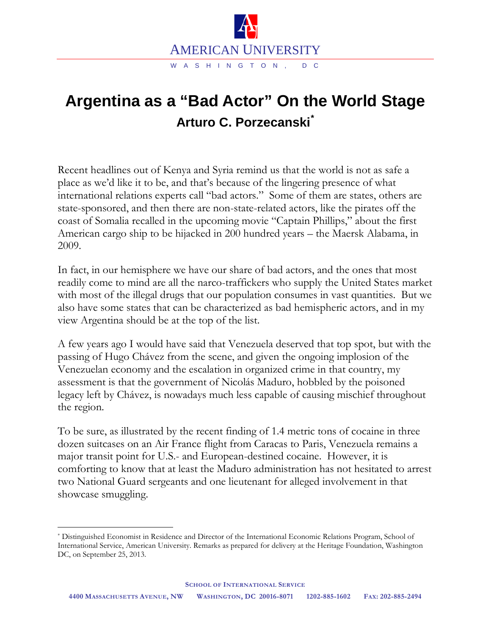

## **Argentina as a "Bad Actor" On the World Stage Arturo C. Porzecanski[\\*](#page-0-0)**

Recent headlines out of Kenya and Syria remind us that the world is not as safe a place as we'd like it to be, and that's because of the lingering presence of what international relations experts call "bad actors." Some of them are states, others are state-sponsored, and then there are non-state-related actors, like the pirates off the coast of Somalia recalled in the upcoming movie "Captain Phillips," about the first American cargo ship to be hijacked in 200 hundred years – the Maersk Alabama, in 2009.

In fact, in our hemisphere we have our share of bad actors, and the ones that most readily come to mind are all the narco-traffickers who supply the United States market with most of the illegal drugs that our population consumes in vast quantities. But we also have some states that can be characterized as bad hemispheric actors, and in my view Argentina should be at the top of the list.

A few years ago I would have said that Venezuela deserved that top spot, but with the passing of Hugo Chávez from the scene, and given the ongoing implosion of the Venezuelan economy and the escalation in organized crime in that country, my assessment is that the government of Nicolás Maduro, hobbled by the poisoned legacy left by Chávez, is nowadays much less capable of causing mischief throughout the region.

To be sure, as illustrated by the recent finding of 1.4 metric tons of cocaine in three dozen suitcases on an Air France flight from Caracas to Paris, Venezuela remains a major transit point for U.S.- and European-destined cocaine. However, it is comforting to know that at least the Maduro administration has not hesitated to arrest two National Guard sergeants and one lieutenant for alleged involvement in that showcase smuggling.

<span id="page-0-0"></span> <sup>\*</sup> Distinguished Economist in Residence and Director of the International Economic Relations Program, School of International Service, American University. Remarks as prepared for delivery at the Heritage Foundation, Washington DC, on September 25, 2013.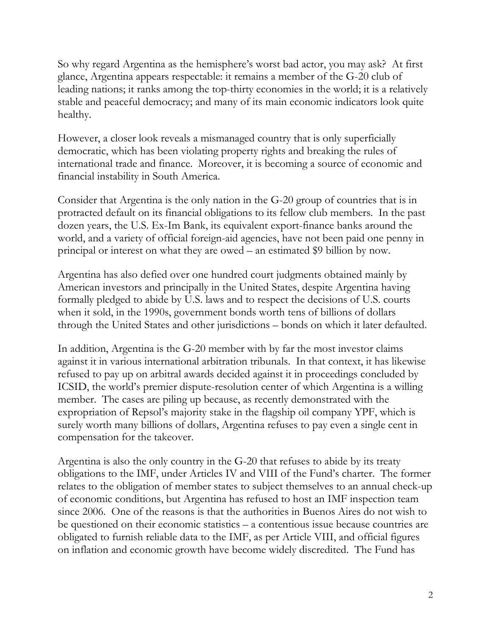So why regard Argentina as the hemisphere's worst bad actor, you may ask? At first glance, Argentina appears respectable: it remains a member of the G-20 club of leading nations; it ranks among the top-thirty economies in the world; it is a relatively stable and peaceful democracy; and many of its main economic indicators look quite healthy.

However, a closer look reveals a mismanaged country that is only superficially democratic, which has been violating property rights and breaking the rules of international trade and finance. Moreover, it is becoming a source of economic and financial instability in South America.

Consider that Argentina is the only nation in the G-20 group of countries that is in protracted default on its financial obligations to its fellow club members. In the past dozen years, the U.S. Ex-Im Bank, its equivalent export-finance banks around the world, and a variety of official foreign-aid agencies, have not been paid one penny in principal or interest on what they are owed – an estimated \$9 billion by now.

Argentina has also defied over one hundred court judgments obtained mainly by American investors and principally in the United States, despite Argentina having formally pledged to abide by U.S. laws and to respect the decisions of U.S. courts when it sold, in the 1990s, government bonds worth tens of billions of dollars through the United States and other jurisdictions – bonds on which it later defaulted.

In addition, Argentina is the G-20 member with by far the most investor claims against it in various international arbitration tribunals. In that context, it has likewise refused to pay up on arbitral awards decided against it in proceedings concluded by ICSID, the world's premier dispute-resolution center of which Argentina is a willing member. The cases are piling up because, as recently demonstrated with the expropriation of Repsol's majority stake in the flagship oil company YPF, which is surely worth many billions of dollars, Argentina refuses to pay even a single cent in compensation for the takeover.

Argentina is also the only country in the G-20 that refuses to abide by its treaty obligations to the IMF, under Articles IV and VIII of the Fund's charter. The former relates to the obligation of member states to subject themselves to an annual check-up of economic conditions, but Argentina has refused to host an IMF inspection team since 2006. One of the reasons is that the authorities in Buenos Aires do not wish to be questioned on their economic statistics – a contentious issue because countries are obligated to furnish reliable data to the IMF, as per Article VIII, and official figures on inflation and economic growth have become widely discredited. The Fund has